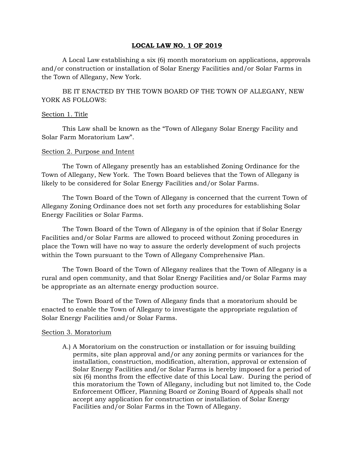### **LOCAL LAW NO. 1 OF 2019**

A Local Law establishing a six (6) month moratorium on applications, approvals and/or construction or installation of Solar Energy Facilities and/or Solar Farms in the Town of Allegany, New York.

BE IT ENACTED BY THE TOWN BOARD OF THE TOWN OF ALLEGANY, NEW YORK AS FOLLOWS:

### Section 1. Title

This Law shall be known as the "Town of Allegany Solar Energy Facility and Solar Farm Moratorium Law".

### Section 2. Purpose and Intent

The Town of Allegany presently has an established Zoning Ordinance for the Town of Allegany, New York. The Town Board believes that the Town of Allegany is likely to be considered for Solar Energy Facilities and/or Solar Farms.

The Town Board of the Town of Allegany is concerned that the current Town of Allegany Zoning Ordinance does not set forth any procedures for establishing Solar Energy Facilities or Solar Farms.

The Town Board of the Town of Allegany is of the opinion that if Solar Energy Facilities and/or Solar Farms are allowed to proceed without Zoning procedures in place the Town will have no way to assure the orderly development of such projects within the Town pursuant to the Town of Allegany Comprehensive Plan.

The Town Board of the Town of Allegany realizes that the Town of Allegany is a rural and open community, and that Solar Energy Facilities and/or Solar Farms may be appropriate as an alternate energy production source.

The Town Board of the Town of Allegany finds that a moratorium should be enacted to enable the Town of Allegany to investigate the appropriate regulation of Solar Energy Facilities and/or Solar Farms.

## Section 3. Moratorium

A.) A Moratorium on the construction or installation or for issuing building permits, site plan approval and/or any zoning permits or variances for the installation, construction, modification, alteration, approval or extension of Solar Energy Facilities and/or Solar Farms is hereby imposed for a period of six (6) months from the effective date of this Local Law. During the period of this moratorium the Town of Allegany, including but not limited to, the Code Enforcement Officer, Planning Board or Zoning Board of Appeals shall not accept any application for construction or installation of Solar Energy Facilities and/or Solar Farms in the Town of Allegany.